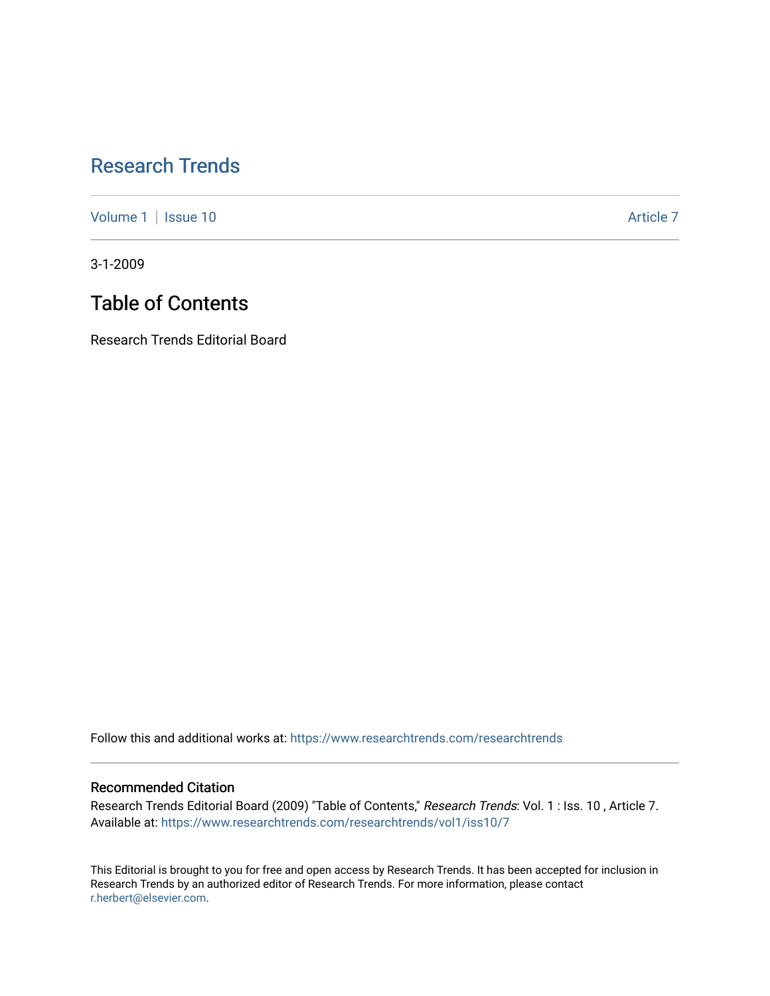## [Research Trends](https://www.researchtrends.com/researchtrends)

[Volume 1](https://www.researchtrends.com/researchtrends/vol1) | [Issue 10](https://www.researchtrends.com/researchtrends/vol1/iss10) Article 7

3-1-2009

## Table of Contents

Research Trends Editorial Board

Follow this and additional works at: [https://www.researchtrends.com/researchtrends](https://www.researchtrends.com/researchtrends?utm_source=www.researchtrends.com%2Fresearchtrends%2Fvol1%2Fiss10%2F7&utm_medium=PDF&utm_campaign=PDFCoverPages) 

#### Recommended Citation

Research Trends Editorial Board (2009) "Table of Contents," Research Trends: Vol. 1 : Iss. 10 , Article 7. Available at: [https://www.researchtrends.com/researchtrends/vol1/iss10/7](https://www.researchtrends.com/researchtrends/vol1/iss10/7?utm_source=www.researchtrends.com%2Fresearchtrends%2Fvol1%2Fiss10%2F7&utm_medium=PDF&utm_campaign=PDFCoverPages)

This Editorial is brought to you for free and open access by Research Trends. It has been accepted for inclusion in Research Trends by an authorized editor of Research Trends. For more information, please contact [r.herbert@elsevier.com.](mailto:r.herbert@elsevier.com)